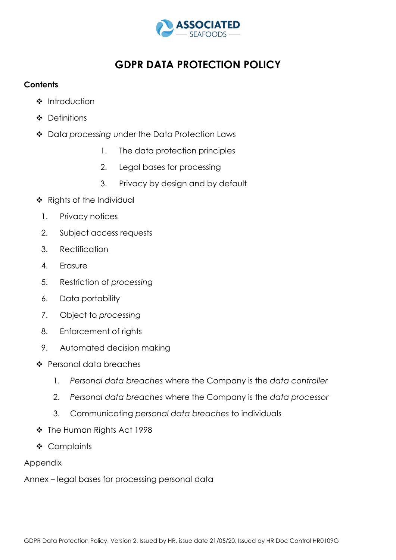

# **GDPR DATA PROTECTION POLICY**

# **Contents**

- **\*** Introduction
- ❖ Definitions
- Data *processing* under the Data Protection Laws
	- 1. The data protection principles
	- 2. Legal bases for processing
	- 3. Privacy by design and by default
- \* Rights of the Individual
	- 1. Privacy notices
	- 2. Subject access requests
	- 3. Rectification
	- 4. Erasure
	- 5. Restriction of *processing*
	- 6. Data portability
	- 7. Object to *processing*
	- 8. Enforcement of rights
	- 9. Automated decision making
- Personal data breaches
	- 1. *Personal data breaches* where the Company is the *data controller*
	- 2. *Personal data breaches* where the Company is the *data processor*
	- 3. Communicating *personal data breaches* to individuals
- The Human Rights Act 1998
- Complaints

# Appendix

Annex – legal bases for processing personal data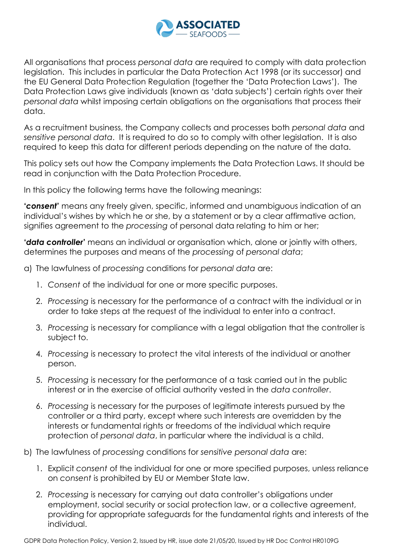

All organisations that process *personal data* are required to comply with data protection legislation. This includes in particular the Data Protection Act 1998 (or its successor) and the EU General Data Protection Regulation (together the 'Data Protection Laws'). The Data Protection Laws give individuals (known as 'data subjects') certain rights over their *personal data* whilst imposing certain obligations on the organisations that process their data.

As a recruitment business, the Company collects and processes both *personal data* and *sensitive personal data*. It is required to do so to comply with other legislation. It is also required to keep this data for different periods depending on the nature of the data.

This policy sets out how the Company implements the Data Protection Laws. It should be read in conjunction with the Data Protection Procedure.

In this policy the following terms have the following meanings:

**'***consent***'** means any freely given, specific, informed and unambiguous indication of an individual's wishes by which he or she, by a statement or by a clear affirmative action, signifies agreement to the *processing* of personal data relating to him or her;

**'***data controller***'** means an individual or organisation which, alone or jointly with others, determines the purposes and means of the *processing* of *personal data*;

- a) The lawfulness of *processing* conditions for *personal data* are:
	- 1. *Consent* of the individual for one or more specific purposes.
	- 2. *Processing* is necessary for the performance of a contract with the individual or in order to take steps at the request of the individual to enter into a contract.
	- 3. *Processing* is necessary for compliance with a legal obligation that the controller is subject to.
	- 4. *Processing* is necessary to protect the vital interests of the individual or another person.
	- 5. *Processing* is necessary for the performance of a task carried out in the public interest or in the exercise of official authority vested in the *data controller*.
	- 6. *Processing* is necessary for the purposes of legitimate interests pursued by the controller or a third party, except where such interests are overridden by the interests or fundamental rights or freedoms of the individual which require protection of *personal data*, in particular where the individual is a child.
- b) The lawfulness of *processing* conditions for *sensitive personal data* are:
	- 1. Explicit *consent* of the individual for one or more specified purposes, unless reliance on *consent* is prohibited by EU or Member State law.
	- 2. *Processing* is necessary for carrying out data controller's obligations under employment, social security or social protection law, or a collective agreement, providing for appropriate safeguards for the fundamental rights and interests of the individual.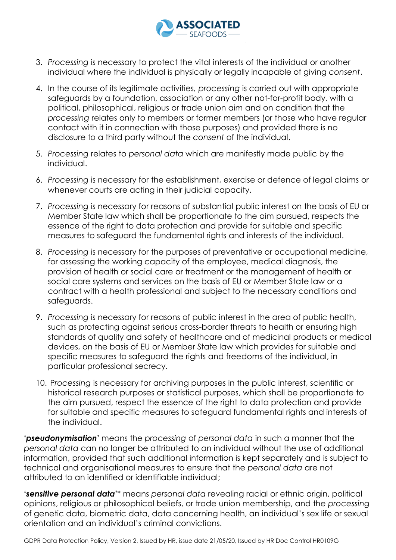

- 3. *Processing* is necessary to protect the vital interests of the individual or another individual where the individual is physically or legally incapable of giving *consent*.
- 4. In the course of its legitimate activities*, processing* is carried out with appropriate safeguards by a foundation, association or any other not-for-profit body, with a political, philosophical, religious or trade union aim and on condition that the *processing* relates only to members or former members (or those who have regular contact with it in connection with those purposes) and provided there is no disclosure to a third party without the *consent* of the individual.
- 5. *Processing* relates to *personal data* which are manifestly made public by the individual.
- 6. *Processing* is necessary for the establishment, exercise or defence of legal claims or whenever courts are acting in their judicial capacity.
- 7. *Processing* is necessary for reasons of substantial public interest on the basis of EU or Member State law which shall be proportionate to the aim pursued, respects the essence of the right to data protection and provide for suitable and specific measures to safeguard the fundamental rights and interests of the individual.
- 8. *Processing* is necessary for the purposes of preventative or occupational medicine, for assessing the working capacity of the employee, medical diagnosis, the provision of health or social care or treatment or the management of health or social care systems and services on the basis of EU or Member State law or a contract with a health professional and subject to the necessary conditions and safeguards.
- 9. *Processing* is necessary for reasons of public interest in the area of public health, such as protecting against serious cross-border threats to health or ensuring high standards of quality and safety of healthcare and of medicinal products or medical devices, on the basis of EU or Member State law which provides for suitable and specific measures to safeguard the rights and freedoms of the individual, in particular professional secrecy.
- 10. P*rocessing* is necessary for archiving purposes in the public interest, scientific or historical research purposes or statistical purposes, which shall be proportionate to the aim pursued, respect the essence of the right to data protection and provide for suitable and specific measures to safeguard fundamental rights and interests of the individual.

**'***pseudonymisation***'** means the *processing* of *personal data* in such a manner that the *personal data* can no longer be attributed to an individual without the use of additional information, provided that such additional information is kept separately and is subject to technical and organisational measures to ensure that the *personal data* are not attributed to an identified or identifiable individual;

**'***sensitive personal data***'**\* means *personal data* revealing racial or ethnic origin, political opinions, religious or philosophical beliefs, or trade union membership, and the *processing* of genetic data, biometric data, data concerning health, an individual's sex life or sexual orientation and an individual's criminal convictions.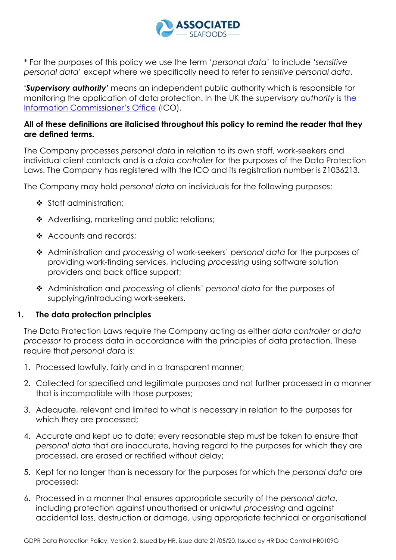

\* For the purposes of this policy we use the term '*personal data*' to include '*sensitive personal data*' except where we specifically need to refer to *sensitive personal data*.

**'***Supervisory authority***'** means an independent public authority which is responsible for monitoring the application of data protection. In the UK the *supervisory authority* is [the](https://ico.org.uk/)  [Information Commissioner's Office](https://ico.org.uk/) (ICO).

# **All of these definitions are italicised throughout this policy to remind the reader that they are defined terms.**

The Company processes *personal data* in relation to its own staff, work-seekers and individual client contacts and is a *data controller* for the purposes of the Data Protection Laws. The Company has registered with the ICO and its registration number is Z1036213.

The Company may hold *personal data* on individuals for the following purposes:

- Staff administration;
- ❖ Advertising, marketing and public relations;
- ❖ Accounts and records;
- Administration and *processing* of work-seekers' *personal data* for the purposes of providing work-finding services, including *processing* using software solution providers and back office support;
- Administration and *processing* of clients' *personal data* for the purposes of supplying/introducing work-seekers.

# **1. The data protection principles**

The Data Protection Laws require the Company acting as either *data controller* or *data processor* to process data in accordance with the principles of data protection. These require that *personal data* is:

- 1. Processed lawfully, fairly and in a transparent manner;
- 2. Collected for specified and legitimate purposes and not further processed in a manner that is incompatible with those purposes;
- 3. Adequate, relevant and limited to what is necessary in relation to the purposes for which they are processed;
- 4. Accurate and kept up to date; every reasonable step must be taken to ensure that *personal data* that are inaccurate, having regard to the purposes for which they are processed, are erased or rectified without delay;
- 5. Kept for no longer than is necessary for the purposes for which the *personal data* are processed;
- 6. Processed in a manner that ensures appropriate security of the *personal data*, including protection against unauthorised or unlawful *processing* and against accidental loss, destruction or damage, using appropriate technical or organisational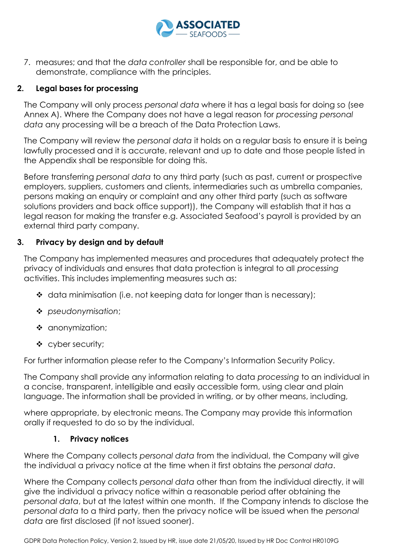

7. measures; and that the *data controller* shall be responsible for, and be able to demonstrate, compliance with the principles.

# **2. Legal bases for processing**

The Company will only process *personal data* where it has a legal basis for doing so (see Annex A). Where the Company does not have a legal reason for *processing personal data* any processing will be a breach of the Data Protection Laws.

The Company will review the *personal data* it holds on a regular basis to ensure it is being lawfully processed and it is accurate, relevant and up to date and those people listed in the Appendix shall be responsible for doing this.

Before transferring *personal data* to any third party (such as past, current or prospective employers, suppliers, customers and clients, intermediaries such as umbrella companies, persons making an enquiry or complaint and any other third party (such as software solutions providers and back office support)), the Company will establish that it has a legal reason for making the transfer e.g. Associated Seafood's payroll is provided by an external third party company.

# **3. Privacy by design and by default**

The Company has implemented measures and procedures that adequately protect the privacy of individuals and ensures that data protection is integral to all *processing* activities. This includes implementing measures such as:

- $\triangleleft$  data minimisation (i.e. not keeping data for longer than is necessary);
- *pseudonymisation*;
- ❖ anonymization;
- ❖ cyber security;

For further information please refer to the Company's Information Security Policy.

The Company shall provide any information relating to data *processing* to an individual in a concise, transparent, intelligible and easily accessible form, using clear and plain language. The information shall be provided in writing, or by other means, including,

where appropriate, by electronic means. The Company may provide this information orally if requested to do so by the individual.

# **1. Privacy notices**

Where the Company collects *personal data* from the individual, the Company will give the individual a privacy notice at the time when it first obtains the *personal data*.

Where the Company collects *personal data* other than from the individual directly, it will give the individual a privacy notice within a reasonable period after obtaining the *personal data*, but at the latest within one month. If the Company intends to disclose the *personal data* to a third party, then the privacy notice will be issued when the *personal data* are first disclosed (if not issued sooner).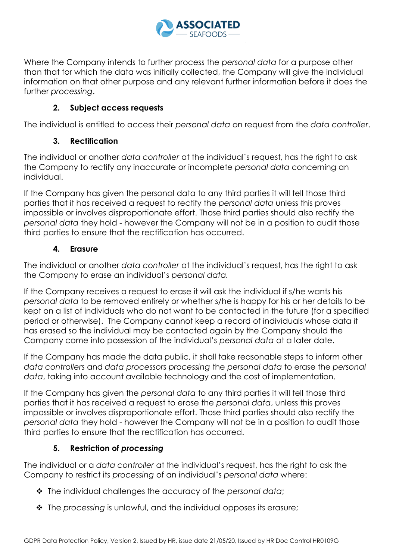

Where the Company intends to further process the *personal data* for a purpose other than that for which the data was initially collected, the Company will give the individual information on that other purpose and any relevant further information before it does the further *processing*.

# **2. Subject access requests**

The individual is entitled to access their *personal data* on request from the *data controller*.

# **3. Rectification**

The individual or another *data controller* at the individual's request, has the right to ask the Company to rectify any inaccurate or incomplete *personal data* concerning an individual.

If the Company has given the personal data to any third parties it will tell those third parties that it has received a request to rectify the *personal data* unless this proves impossible or involves disproportionate effort. Those third parties should also rectify the *personal data* they hold - however the Company will not be in a position to audit those third parties to ensure that the rectification has occurred.

# **4. Erasure**

The individual or another *data controller* at the individual's request, has the right to ask the Company to erase an individual's *personal data.* 

If the Company receives a request to erase it will ask the individual if s/he wants his *personal data* to be removed entirely or whether s/he is happy for his or her details to be kept on a list of individuals who do not want to be contacted in the future (for a specified period or otherwise). The Company cannot keep a record of individuals whose data it has erased so the individual may be contacted again by the Company should the Company come into possession of the individual's *personal data* at a later date.

If the Company has made the data public, it shall take reasonable steps to inform other *data controllers* and *data processors processing* the *personal data* to erase the *personal data*, taking into account available technology and the cost of implementation.

If the Company has given the *personal data* to any third parties it will tell those third parties that it has received a request to erase the *personal data*, unless this proves impossible or involves disproportionate effort. Those third parties should also rectify the *personal data* they hold - however the Company will not be in a position to audit those third parties to ensure that the rectification has occurred.

# **5. Restriction of** *processing*

The individual or a *data controller* at the individual's request, has the right to ask the Company to restrict its *processing* of an individual's *personal data* where:

- The individual challenges the accuracy of the *personal data*;
- $\cdot$  The processing is unlawful, and the individual opposes its erasure;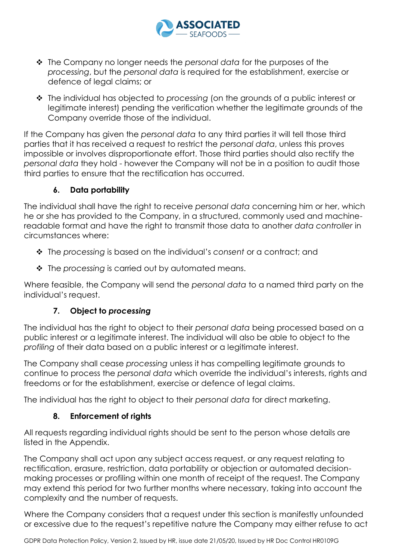

- The Company no longer needs the *personal data* for the purposes of the *processing*, but the *personal data* is required for the establishment, exercise or defence of legal claims; or
- The individual has objected to *processing* (on the grounds of a public interest or legitimate interest) pending the verification whether the legitimate grounds of the Company override those of the individual.

If the Company has given the *personal data* to any third parties it will tell those third parties that it has received a request to restrict the *personal data*, unless this proves impossible or involves disproportionate effort. Those third parties should also rectify the *personal data* they hold - however the Company will not be in a position to audit those third parties to ensure that the rectification has occurred.

# **6. Data portability**

The individual shall have the right to receive *personal data* concerning him or her, which he or she has provided to the Company, in a structured, commonly used and machinereadable format and have the right to transmit those data to another *data controller* in circumstances where:

- The *processing* is based on the individual's *consent* or a contract; and
- **❖** The processing is carried out by automated means.

Where feasible, the Company will send the *personal data* to a named third party on the individual's request.

# **7. Object to** *processing*

The individual has the right to object to their *personal data* being processed based on a public interest or a legitimate interest. The individual will also be able to object to the *profiling* of their data based on a public interest or a legitimate interest.

The Company shall cease *processing* unless it has compelling legitimate grounds to continue to process the *personal data* which override the individual's interests, rights and freedoms or for the establishment, exercise or defence of legal claims.

The individual has the right to object to their *personal data* for direct marketing.

# **8. Enforcement of rights**

All requests regarding individual rights should be sent to the person whose details are listed in the Appendix.

The Company shall act upon any subject access request, or any request relating to rectification, erasure, restriction, data portability or objection or automated decisionmaking processes or profiling within one month of receipt of the request. The Company may extend this period for two further months where necessary, taking into account the complexity and the number of requests.

Where the Company considers that a request under this section is manifestly unfounded or excessive due to the request's repetitive nature the Company may either refuse to act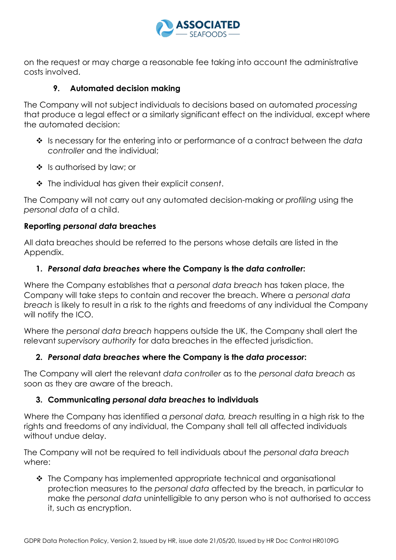

on the request or may charge a reasonable fee taking into account the administrative costs involved.

# **9. Automated decision making**

The Company will not subject individuals to decisions based on automated *processing* that produce a legal effect or a similarly significant effect on the individual, except where the automated decision:

- Is necessary for the entering into or performance of a contract between the *data controller* and the individual;
- ❖ Is authorised by law; or
- The individual has given their explicit *consent*.

The Company will not carry out any automated decision-making or *profiling* using the *personal data* of a child.

#### **Reporting** *personal data* **breaches**

All data breaches should be referred to the persons whose details are listed in the Appendix.

#### **1.** *Personal data breaches* **where the Company is the** *data controller***:**

Where the Company establishes that a *personal data breach* has taken place, the Company will take steps to contain and recover the breach. Where a *personal data breach* is likely to result in a risk to the rights and freedoms of any individual the Company will notify the ICO.

Where the *personal data breach* happens outside the UK, the Company shall alert the relevant *supervisory authority* for data breaches in the effected jurisdiction.

# **2.** *Personal data breaches* **where the Company is the** *data processor***:**

The Company will alert the relevant *data controller* as to the *personal data breach* as soon as they are aware of the breach.

# **3. Communicating** *personal data breaches* **to individuals**

Where the Company has identified a *personal data, breach* resulting in a high risk to the rights and freedoms of any individual, the Company shall tell all affected individuals without undue delay.

The Company will not be required to tell individuals about the *personal data breach* where:

◆ The Company has implemented appropriate technical and organisational protection measures to the *personal data* affected by the breach, in particular to make the *personal data* unintelligible to any person who is not authorised to access it, such as encryption.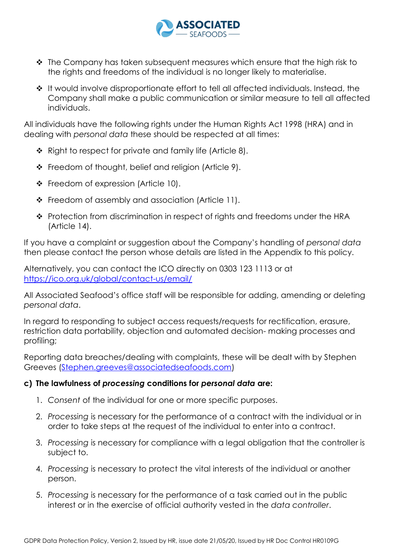

- ◆ The Company has taken subsequent measures which ensure that the high risk to the rights and freedoms of the individual is no longer likely to materialise.
- $\cdot$  It would involve disproportionate effort to tell all affected individuals. Instead, the Company shall make a public communication or similar measure to tell all affected individuals.

All individuals have the following rights under the Human Rights Act 1998 (HRA) and in dealing with *personal data* these should be respected at all times:

- $\div$  Right to respect for private and family life (Article 8).
- ❖ Freedom of thought, belief and religion (Article 9).
- $\div$  Freedom of expression (Article 10).
- Freedom of assembly and association (Article 11).
- \* Protection from discrimination in respect of rights and freedoms under the HRA (Article 14).

If you have a complaint or suggestion about the Company's handling of *personal data*  then please contact the person whose details are listed in the Appendix to this policy.

Alternatively, you can contact the ICO directly on 0303 123 1113 or at <https://ico.org.uk/global/contact-us/email/>

All Associated Seafood's office staff will be responsible for adding, amending or deleting *personal data*.

In regard to responding to subject access requests/requests for rectification, erasure, restriction data portability, objection and automated decision- making processes and profiling;

Reporting data breaches/dealing with complaints, these will be dealt with by Stephen Greeves [\(Stephen.greeves@associatedseafoods.com\)](mailto:Stephen.greeves@associatedseafoods.com)

# **c) The lawfulness of** *processing* **conditions for** *personal data* **are:**

- 1. *Consent* of the individual for one or more specific purposes.
- 2. *Processing* is necessary for the performance of a contract with the individual or in order to take steps at the request of the individual to enter into a contract.
- 3. *Processing* is necessary for compliance with a legal obligation that the controller is subject to.
- 4. *Processing* is necessary to protect the vital interests of the individual or another person.
- 5. *Processing* is necessary for the performance of a task carried out in the public interest or in the exercise of official authority vested in the *data controller*.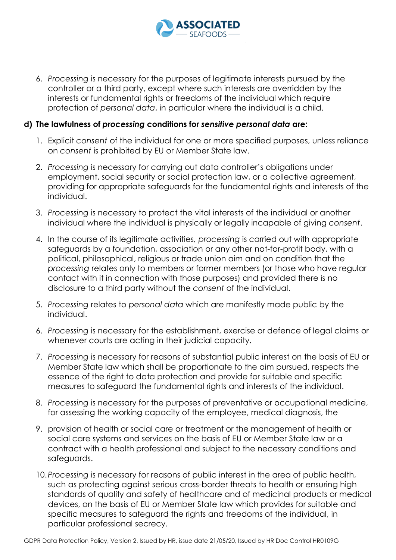

6. *Processing* is necessary for the purposes of legitimate interests pursued by the controller or a third party, except where such interests are overridden by the interests or fundamental rights or freedoms of the individual which require protection of *personal data*, in particular where the individual is a child.

#### **d) The lawfulness of** *processing* **conditions for** *sensitive personal data* **are:**

- 1. Explicit *consent* of the individual for one or more specified purposes, unless reliance on *consent* is prohibited by EU or Member State law.
- 2. *Processing* is necessary for carrying out data controller's obligations under employment, social security or social protection law, or a collective agreement, providing for appropriate safeguards for the fundamental rights and interests of the individual.
- 3. *Processing* is necessary to protect the vital interests of the individual or another individual where the individual is physically or legally incapable of giving *consent*.
- 4. In the course of its legitimate activities*, processing* is carried out with appropriate safeguards by a foundation, association or any other not-for-profit body, with a political, philosophical, religious or trade union aim and on condition that the *processing* relates only to members or former members (or those who have regular contact with it in connection with those purposes) and provided there is no disclosure to a third party without the *consent* of the individual.
- 5. *Processing* relates to *personal data* which are manifestly made public by the individual.
- 6. *Processing* is necessary for the establishment, exercise or defence of legal claims or whenever courts are acting in their judicial capacity.
- 7. *Processing* is necessary for reasons of substantial public interest on the basis of EU or Member State law which shall be proportionate to the aim pursued, respects the essence of the right to data protection and provide for suitable and specific measures to safeguard the fundamental rights and interests of the individual.
- 8. *Processing* is necessary for the purposes of preventative or occupational medicine, for assessing the working capacity of the employee, medical diagnosis, the
- 9. provision of health or social care or treatment or the management of health or social care systems and services on the basis of EU or Member State law or a contract with a health professional and subject to the necessary conditions and safeguards.
- 10.*Processing* is necessary for reasons of public interest in the area of public health, such as protecting against serious cross-border threats to health or ensuring high standards of quality and safety of healthcare and of medicinal products or medical devices, on the basis of EU or Member State law which provides for suitable and specific measures to safeguard the rights and freedoms of the individual, in particular professional secrecy.